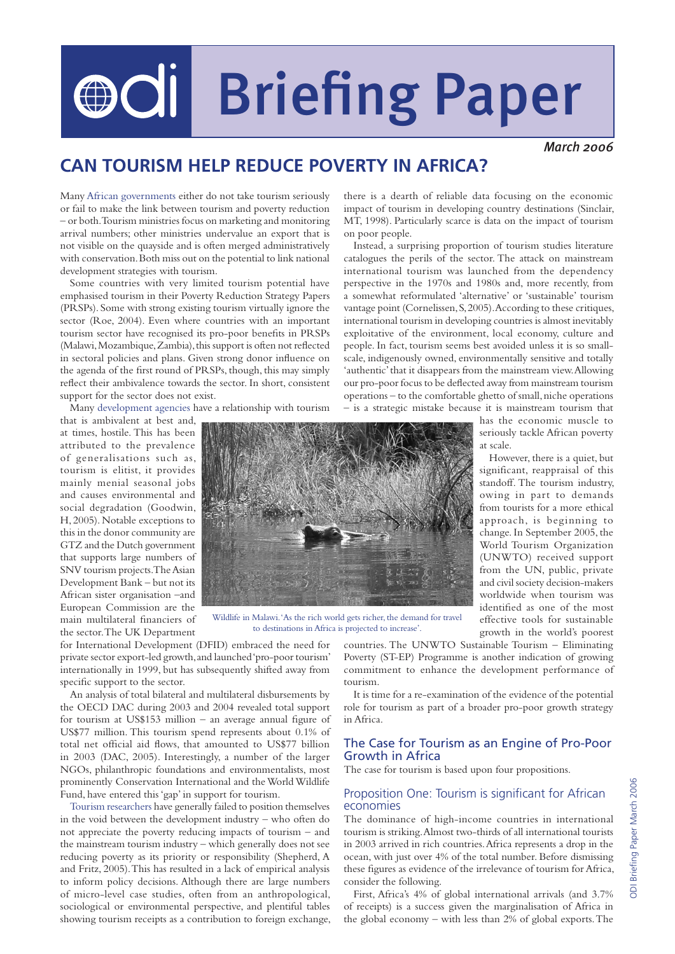# OOI Briefing Paper

*March 2006*

## **CAN TOURISM HELP REDUCE POVERTY IN AFRICA?**

Many African governments either do not take tourism seriously or fail to make the link between tourism and poverty reduction – or both. Tourism ministries focus on marketing and monitoring arrival numbers; other ministries undervalue an export that is not visible on the quayside and is often merged administratively with conservation. Both miss out on the potential to link national development strategies with tourism.

Some countries with very limited tourism potential have emphasised tourism in their Poverty Reduction Strategy Papers (PRSPs). Some with strong existing tourism virtually ignore the sector (Roe, 2004). Even where countries with an important tourism sector have recognised its pro-poor benefits in PRSPs (Malawi, Mozambique, Zambia), this support is often not reflected in sectoral policies and plans. Given strong donor influence on the agenda of the first round of PRSPs, though, this may simply reflect their ambivalence towards the sector. In short, consistent support for the sector does not exist.

Many development agencies have a relationship with tourism

that is ambivalent at best and, at times, hostile. This has been attributed to the prevalence of generalisations such as, tourism is elitist, it provides mainly menial seasonal jobs and causes environmental and social degradation (Goodwin, H, 2005). Notable exceptions to this in the donor community are GTZ and the Dutch government that supports large numbers of SNV tourism projects. The Asian Development Bank – but not its African sister organisation –and European Commission are the main multilateral financiers of the sector. The UK Department



Wildlife in Malawi. 'As the rich world gets richer, the demand for travel to destinations in Africa is projected to increase'.

for International Development (DFID) embraced the need for private sector export-led growth, and launched 'pro-poor tourism' internationally in 1999, but has subsequently shifted away from specific support to the sector.

An analysis of total bilateral and multilateral disbursements by the OECD DAC during 2003 and 2004 revealed total support for tourism at US\$153 million – an average annual figure of US\$77 million. This tourism spend represents about 0.1% of total net official aid flows, that amounted to US\$77 billion in 2003 (DAC, 2005). Interestingly, a number of the larger NGOs, philanthropic foundations and environmentalists, most prominently Conservation International and the World Wildlife Fund, have entered this 'gap' in support for tourism.

Tourism researchers have generally failed to position themselves in the void between the development industry – who often do not appreciate the poverty reducing impacts of tourism – and the mainstream tourism industry – which generally does not see reducing poverty as its priority or responsibility (Shepherd, A and Fritz, 2005). This has resulted in a lack of empirical analysis to inform policy decisions. Although there are large numbers of micro-level case studies, often from an anthropological, sociological or environmental perspective, and plentiful tables showing tourism receipts as a contribution to foreign exchange,

there is a dearth of reliable data focusing on the economic impact of tourism in developing country destinations (Sinclair, MT, 1998). Particularly scarce is data on the impact of tourism on poor people.

Instead, a surprising proportion of tourism studies literature catalogues the perils of the sector. The attack on mainstream international tourism was launched from the dependency perspective in the 1970s and 1980s and, more recently, from a somewhat reformulated 'alternative' or 'sustainable' tourism vantage point (Cornelissen, S, 2005). According to these critiques, international tourism in developing countries is almost inevitably exploitative of the environment, local economy, culture and people. In fact, tourism seems best avoided unless it is so smallscale, indigenously owned, environmentally sensitive and totally 'authentic' that it disappears from the mainstream view. Allowing our pro-poor focus to be deflected away from mainstream tourism operations – to the comfortable ghetto of small, niche operations – is a strategic mistake because it is mainstream tourism that

has the economic muscle to seriously tackle African poverty at scale.

However, there is a quiet, but significant, reappraisal of this standoff. The tourism industry, owing in part to demands from tourists for a more ethical approach, is beginning to change. In September 2005, the World Tourism Organization (UNWTO) received support from the UN, public, private and civil society decision-makers worldwide when tourism was identified as one of the most effective tools for sustainable growth in the world's poorest

countries. The UNWTO Sustainable Tourism – Eliminating Poverty (ST-EP) Programme is another indication of growing commitment to enhance the development performance of tourism.

It is time for a re-examination of the evidence of the potential role for tourism as part of a broader pro-poor growth strategy in Africa.

#### The Case for Tourism as an Engine of Pro-Poor Growth in Africa

The case for tourism is based upon four propositions.

#### Proposition One: Tourism is significant for African economies

The dominance of high-income countries in international tourism is striking. Almost two-thirds of all international tourists in 2003 arrived in rich countries. Africa represents a drop in the ocean, with just over 4% of the total number. Before dismissing these figures as evidence of the irrelevance of tourism for Africa, consider the following.

First, Africa's 4% of global international arrivals (and 3.7% of receipts) is a success given the marginalisation of Africa in the global economy – with less than 2% of global exports. The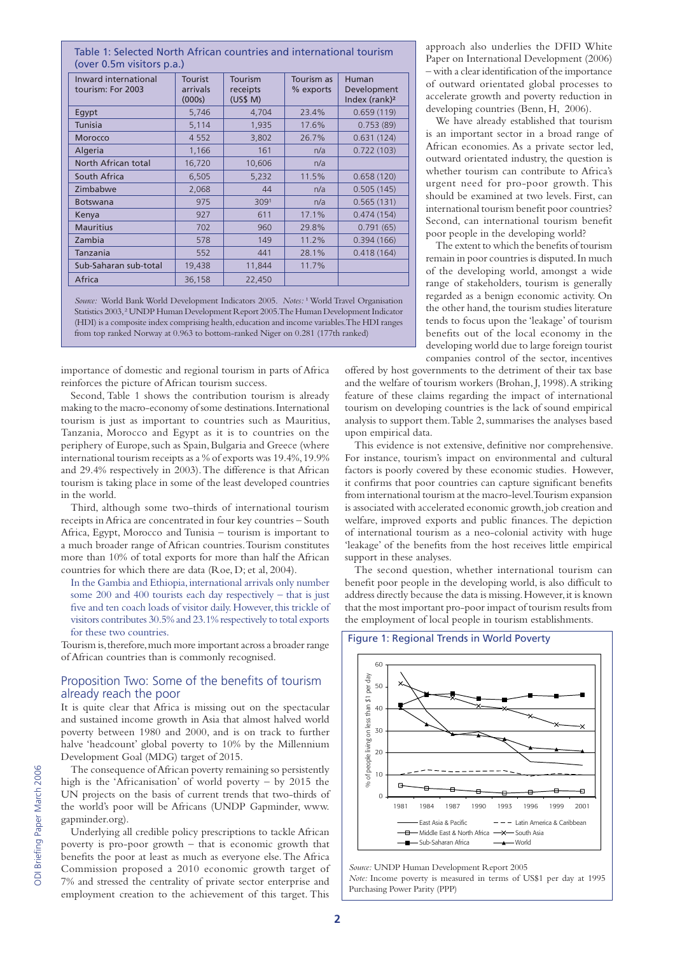#### Table 1: Selected North African countries and international tourism (over 0.5m visitors p.a.)

| Inward international<br>tourism: For 2003 | <b>Tourist</b><br>arrivals<br>(000s) | Tourism<br>receipts<br>(US\$M) | Tourism as<br>% exports | Human<br>Development<br>Index (rank) <sup>2</sup> |
|-------------------------------------------|--------------------------------------|--------------------------------|-------------------------|---------------------------------------------------|
| Egypt                                     | 5,746                                | 4,704                          | 23.4%                   | 0.659(119)                                        |
| <b>Tunisia</b>                            | 5,114                                | 1,935                          | 17.6%                   | 0.753(89)                                         |
| <b>Morocco</b>                            | 4 5 5 2                              | 3,802                          | 26.7%                   | 0.631(124)                                        |
| Algeria                                   | 1,166                                | 161                            | n/a                     | 0.722(103)                                        |
| North African total                       | 16,720                               | 10,606                         | n/a                     |                                                   |
| South Africa                              | 6,505                                | 5,232                          | 11.5%                   | 0.658(120)                                        |
| Zimbabwe                                  | 2,068                                | 44                             | n/a                     | 0.505(145)                                        |
| <b>Botswana</b>                           | 975                                  | 3091                           | n/a                     | 0.565(131)                                        |
| Kenya                                     | 927                                  | 611                            | 17.1%                   | 0.474(154)                                        |
| <b>Mauritius</b>                          | 702                                  | 960                            | 29.8%                   | 0.791(65)                                         |
| Zambia                                    | 578                                  | 149                            | 11.2%                   | 0.394(166)                                        |
| Tanzania                                  | 552                                  | 441                            | 28.1%                   | 0.418(164)                                        |
| Sub-Saharan sub-total                     | 19,438                               | 11,844                         | 11.7%                   |                                                   |
| Africa                                    | 36,158                               | 22,450                         |                         |                                                   |

*Source:* World Bank World Development Indicators 2005. *Notes:*<sup>1</sup> World Travel Organisation Statistics 2003,<sup>2</sup> UNDP Human Development Report 2005. The Human Development Indicator (HDI) is a composite index comprising health, education and income variables. The HDI ranges from top ranked Norway at 0.963 to bottom-ranked Niger on 0.281 (177th ranked)

importance of domestic and regional tourism in parts of Africa reinforces the picture of African tourism success.

Second, Table 1 shows the contribution tourism is already making to the macro-economy of some destinations. International tourism is just as important to countries such as Mauritius, Tanzania, Morocco and Egypt as it is to countries on the periphery of Europe, such as Spain, Bulgaria and Greece (where international tourism receipts as a % of exports was 19.4%, 19.9% and 29.4% respectively in 2003). The difference is that African tourism is taking place in some of the least developed countries in the world.

Third, although some two-thirds of international tourism receipts in Africa are concentrated in four key countries – South Africa, Egypt, Morocco and Tunisia – tourism is important to a much broader range of African countries. Tourism constitutes more than 10% of total exports for more than half the African countries for which there are data (Roe, D; et al, 2004).

In the Gambia and Ethiopia, international arrivals only number some 200 and 400 tourists each day respectively – that is just five and ten coach loads of visitor daily. However, this trickle of visitors contributes 30.5% and 23.1% respectively to total exports for these two countries.

Tourism is, therefore, much more important across a broader range of African countries than is commonly recognised.

#### Proposition Two: Some of the benefits of tourism already reach the poor

It is quite clear that Africa is missing out on the spectacular and sustained income growth in Asia that almost halved world poverty between 1980 and 2000, and is on track to further halve 'headcount' global poverty to 10% by the Millennium Development Goal (MDG) target of 2015.

The consequence of African poverty remaining so persistently high is the 'Africanisation' of world poverty – by 2015 the UN projects on the basis of current trends that two-thirds of the world's poor will be Africans (UNDP Gapminder, www. gapminder.org).

Underlying all credible policy prescriptions to tackle African poverty is pro-poor growth – that is economic growth that benefits the poor at least as much as everyone else. The Africa Commission proposed a 2010 economic growth target of 7% and stressed the centrality of private sector enterprise and employment creation to the achievement of this target. This

approach also underlies the DFID White Paper on International Development (2006) – with a clear identification of the importance of outward orientated global processes to accelerate growth and poverty reduction in developing countries (Benn, H, 2006).

We have already established that tourism is an important sector in a broad range of African economies. As a private sector led, outward orientated industry, the question is whether tourism can contribute to Africa's urgent need for pro-poor growth. This should be examined at two levels. First, can international tourism benefit poor countries? Second, can international tourism benefit poor people in the developing world?

The extent to which the benefits of tourism remain in poor countries is disputed. In much of the developing world, amongst a wide range of stakeholders, tourism is generally regarded as a benign economic activity. On the other hand, the tourism studies literature tends to focus upon the 'leakage' of tourism benefits out of the local economy in the developing world due to large foreign tourist companies control of the sector, incentives

offered by host governments to the detriment of their tax base and the welfare of tourism workers (Brohan, J, 1998). A striking feature of these claims regarding the impact of international tourism on developing countries is the lack of sound empirical analysis to support them. Table 2, summarises the analyses based upon empirical data.

This evidence is not extensive, definitive nor comprehensive. For instance, tourism's impact on environmental and cultural factors is poorly covered by these economic studies. However, it confirms that poor countries can capture significant benefits from international tourism at the macro-level. Tourism expansion is associated with accelerated economic growth, job creation and welfare, improved exports and public finances. The depiction of international tourism as a neo-colonial activity with huge 'leakage' of the benefits from the host receives little empirical support in these analyses.

The second question, whether international tourism can benefit poor people in the developing world, is also difficult to address directly because the data is missing. However, it is known that the most important pro-poor impact of tourism results from the employment of local people in tourism establishments.

#### Figure 1: Regional Trends in World Poverty



*Source:* UNDP Human Development Report 2005 *Note:* Income poverty is measured in terms of US\$1 per day at 1995 Purchasing Power Parity (PPP)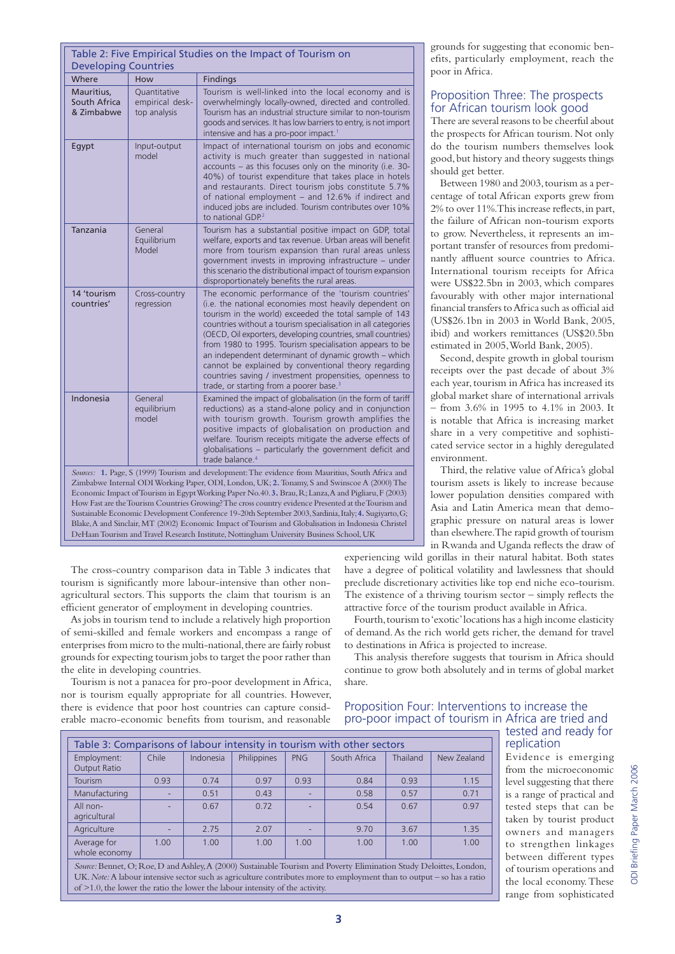|                                                                                                                                                                                                                                                                                                                                                                                                                                                                                                                          | Table 2: Five Empirical Studies on the Impact of Tourism on |                                                                                                                                                                                                                                                                                                                                                                                                                                                                                                                                                                                                      |  |  |  |
|--------------------------------------------------------------------------------------------------------------------------------------------------------------------------------------------------------------------------------------------------------------------------------------------------------------------------------------------------------------------------------------------------------------------------------------------------------------------------------------------------------------------------|-------------------------------------------------------------|------------------------------------------------------------------------------------------------------------------------------------------------------------------------------------------------------------------------------------------------------------------------------------------------------------------------------------------------------------------------------------------------------------------------------------------------------------------------------------------------------------------------------------------------------------------------------------------------------|--|--|--|
| <b>Developing Countries</b>                                                                                                                                                                                                                                                                                                                                                                                                                                                                                              |                                                             |                                                                                                                                                                                                                                                                                                                                                                                                                                                                                                                                                                                                      |  |  |  |
| Where                                                                                                                                                                                                                                                                                                                                                                                                                                                                                                                    | How                                                         | Findings                                                                                                                                                                                                                                                                                                                                                                                                                                                                                                                                                                                             |  |  |  |
| Mauritius.<br>South Africa<br>& Zimbabwe                                                                                                                                                                                                                                                                                                                                                                                                                                                                                 | Ouantitative<br>empirical desk-<br>top analysis             | Tourism is well-linked into the local economy and is<br>overwhelmingly locally-owned, directed and controlled.<br>Tourism has an industrial structure similar to non-tourism<br>goods and services. It has low barriers to entry, is not import<br>intensive and has a pro-poor impact. <sup>1</sup>                                                                                                                                                                                                                                                                                                 |  |  |  |
| Egypt                                                                                                                                                                                                                                                                                                                                                                                                                                                                                                                    | Input-output<br>model                                       | Impact of international tourism on jobs and economic<br>activity is much greater than suggested in national<br>accounts - as this focuses only on the minority (i.e. 30-<br>40%) of tourist expenditure that takes place in hotels<br>and restaurants. Direct tourism jobs constitute 5.7%<br>of national employment - and 12.6% if indirect and<br>induced jobs are included. Tourism contributes over 10%<br>to national GDP. <sup>2</sup>                                                                                                                                                         |  |  |  |
| Tanzania                                                                                                                                                                                                                                                                                                                                                                                                                                                                                                                 | General<br>Equilibrium<br>Model                             | Tourism has a substantial positive impact on GDP, total<br>welfare, exports and tax revenue. Urban areas will benefit<br>more from tourism expansion than rural areas unless<br>government invests in improving infrastructure - under<br>this scenario the distributional impact of tourism expansion<br>disproportionately benefits the rural areas.                                                                                                                                                                                                                                               |  |  |  |
| 14 'tourism<br>countries'                                                                                                                                                                                                                                                                                                                                                                                                                                                                                                | Cross-country<br>regression                                 | The economic performance of the 'tourism countries'<br>(i.e. the national economies most heavily dependent on<br>tourism in the world) exceeded the total sample of 143<br>countries without a tourism specialisation in all categories<br>(OECD, Oil exporters, developing countries, small countries)<br>from 1980 to 1995. Tourism specialisation appears to be<br>an independent determinant of dynamic growth - which<br>cannot be explained by conventional theory regarding<br>countries saving / investment propensities, openness to<br>trade, or starting from a poorer base. <sup>3</sup> |  |  |  |
| Indonesia                                                                                                                                                                                                                                                                                                                                                                                                                                                                                                                | General<br>equilibrium<br>model                             | Examined the impact of globalisation (in the form of tariff<br>reductions) as a stand-alone policy and in conjunction<br>with tourism growth. Tourism growth amplifies the<br>positive impacts of globalisation on production and<br>welfare. Tourism receipts mitigate the adverse effects of<br>globalisations - particularly the government deficit and<br>trade balance. <sup>4</sup>                                                                                                                                                                                                            |  |  |  |
| Sources: 1. Page, S (1999) Tourism and development: The evidence from Mauritius, South Africa and<br>Zimbabwe Internal ODI Working Paper, ODI, London, UK; 2. Tonamy, S and Swinscoe A (2000) The<br>Economic Impact of Tourism in Egypt Working Paper No.40.3. Brau, R; Lanza, A and Pigliaru, F (2003)<br>How Fast are the Tourism Countries Growing? The cross country evidence Presented at the Tourism and<br>Sustainable Economic Development Conference 19-20th September 2003, Sardinia, Italy; 4. Sugiyarto, G; |                                                             |                                                                                                                                                                                                                                                                                                                                                                                                                                                                                                                                                                                                      |  |  |  |

Blake, A and Sinclair, MT (2002) Economic Impact of Tourism and Globalisation in Indonesia Christel DeHaan Tourism and Travel Research Institute, Nottingham University Business School, UK

The cross-country comparison data in Table 3 indicates that tourism is significantly more labour-intensive than other nonagricultural sectors. This supports the claim that tourism is an efficient generator of employment in developing countries.

As jobs in tourism tend to include a relatively high proportion of semi-skilled and female workers and encompass a range of enterprises from micro to the multi-national, there are fairly robust grounds for expecting tourism jobs to target the poor rather than the elite in developing countries.

Tourism is not a panacea for pro-poor development in Africa, nor is tourism equally appropriate for all countries. However, there is evidence that poor host countries can capture considerable macro-economic benefits from tourism, and reasonable

grounds for suggesting that economic benefits, particularly employment, reach the poor in Africa.

#### Proposition Three: The prospects for African tourism look good

There are several reasons to be cheerful about the prospects for African tourism. Not only do the tourism numbers themselves look good, but history and theory suggests things should get better.

Between 1980 and 2003, tourism as a percentage of total African exports grew from 2% to over 11%. This increase reflects, in part, the failure of African non-tourism exports to grow. Nevertheless, it represents an important transfer of resources from predominantly affluent source countries to Africa. International tourism receipts for Africa were US\$22.5bn in 2003, which compares favourably with other major international financial transfers to Africa such as official aid (US\$26.1bn in 2003 in World Bank, 2005, ibid) and workers remittances (US\$20.5bn estimated in 2005, World Bank, 2005).

Second, despite growth in global tourism receipts over the past decade of about 3% each year, tourism in Africa has increased its global market share of international arrivals – from 3.6% in 1995 to 4.1% in 2003. It is notable that Africa is increasing market share in a very competitive and sophisticated service sector in a highly deregulated environment.

Third, the relative value of Africa's global tourism assets is likely to increase because lower population densities compared with Asia and Latin America mean that demographic pressure on natural areas is lower than elsewhere. The rapid growth of tourism in Rwanda and Uganda reflects the draw of

experiencing wild gorillas in their natural habitat. Both states have a degree of political volatility and lawlessness that should preclude discretionary activities like top end niche eco-tourism. The existence of a thriving tourism sector – simply reflects the attractive force of the tourism product available in Africa.

Fourth, tourism to 'exotic' locations has a high income elasticity of demand. As the rich world gets richer, the demand for travel to destinations in Africa is projected to increase.

This analysis therefore suggests that tourism in Africa should continue to grow both absolutely and in terms of global market share.

### Proposition Four: Interventions to increase the pro-poor impact of tourism in Africa are tried and

tested and ready for replication Evidence is emerging

from the microeconomic level suggesting that there is a range of practical and tested steps that can be taken by tourist product owners and managers to strengthen linkages between different types of tourism operations and the local economy. These range from sophisticated

Table 3: Comparisons of labour intensity in tourism with other sectors Employment: Output Ratio Chile | Indonesia | Philippines | PNG | South Africa | Thailand | New Zealand Tourism 0.93 0.74 0.97 0.93 0.84 0.93 1.15 Manufacturing | - | 0.51 | 0.43 | - | 0.58 | 0.57 | 0.71 All nonagricultural - | 0.67 | 0.72 | - | 0.54 | 0.67 | 0.97 Agriculture | - | 2.75 | 2.07 | - | 9.70 | 3.67 | 1.35 Average for whole economy 1.00 | 1.00 | 1.00 | 1.00 | 1.00 | 1.00 | 1.00 *Source:* Bennet, O; Roe, D and Ashley, A (2000) Sustainable Tourism and Poverty Elimination Study Deloittes, London, UK. *Note:* A labour intensive sector such as agriculture contributes more to employment than to output – so has a ratio of >1.0, the lower the ratio the lower the labour intensity of the activity.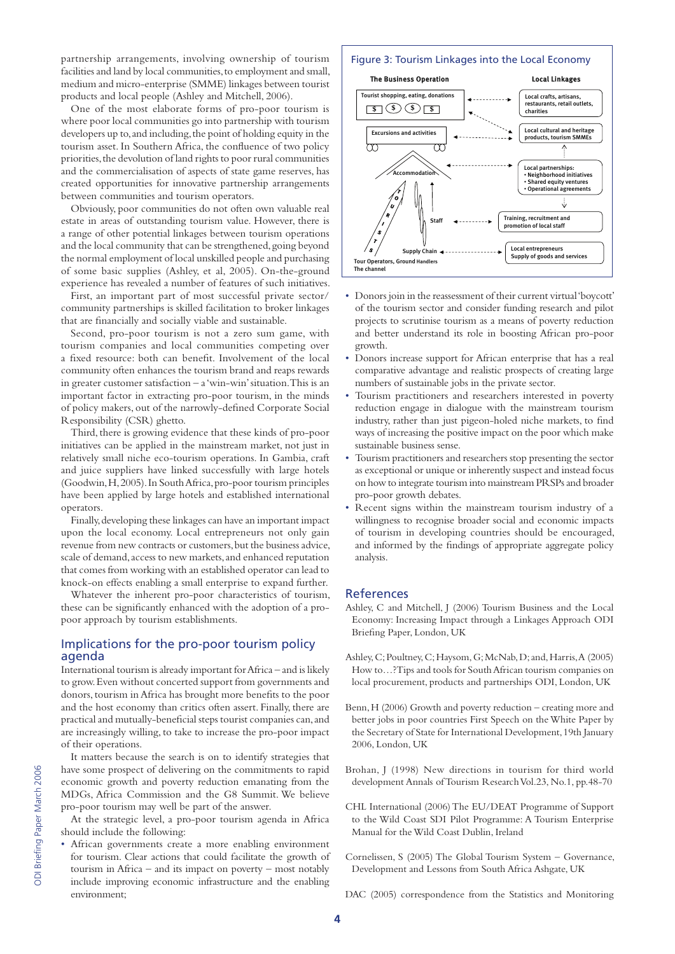partnership arrangements, involving ownership of tourism | Figure 3: Tourism Linkages into the Local Economy facilities and land by local communities, to employment and small, medium and micro-enterprise (SMME) linkages between tourist products and local people (Ashley and Mitchell, 2006).

One of the most elaborate forms of pro-poor tourism is where poor local communities go into partnership with tourism developers up to, and including, the point of holding equity in the tourism asset. In Southern Africa, the confluence of two policy priorities, the devolution of land rights to poor rural communities and the commercialisation of aspects of state game reserves, has created opportunities for innovative partnership arrangements between communities and tourism operators.

Obviously, poor communities do not often own valuable real estate in areas of outstanding tourism value. However, there is a range of other potential linkages between tourism operations and the local community that can be strengthened, going beyond the normal employment of local unskilled people and purchasing of some basic supplies (Ashley, et al, 2005). On-the-ground experience has revealed a number of features of such initiatives.

First, an important part of most successful private sector/ community partnerships is skilled facilitation to broker linkages that are financially and socially viable and sustainable.

Second, pro-poor tourism is not a zero sum game, with tourism companies and local communities competing over a fixed resource: both can benefit. Involvement of the local community often enhances the tourism brand and reaps rewards in greater customer satisfaction  $- a$  'win-win' situation. This is an important factor in extracting pro-poor tourism, in the minds of policy makers, out of the narrowly-defined Corporate Social Responsibility (CSR) ghetto.

Third, there is growing evidence that these kinds of pro-poor initiatives can be applied in the mainstream market, not just in relatively small niche eco-tourism operations. In Gambia, craft and juice suppliers have linked successfully with large hotels (Goodwin, H, 2005). In South Africa, pro-poor tourism principles have been applied by large hotels and established international operators.

Finally, developing these linkages can have an important impact upon the local economy. Local entrepreneurs not only gain revenue from new contracts or customers, but the business advice, scale of demand, access to new markets, and enhanced reputation that comes from working with an established operator can lead to knock-on effects enabling a small enterprise to expand further.

Whatever the inherent pro-poor characteristics of tourism, these can be significantly enhanced with the adoption of a propoor approach by tourism establishments.

#### Implications for the pro-poor tourism policy agenda

International tourism is already important for Africa – and is likely to grow. Even without concerted support from governments and donors, tourism in Africa has brought more benefits to the poor and the host economy than critics often assert. Finally, there are practical and mutually-beneficial steps tourist companies can, and are increasingly willing, to take to increase the pro-poor impact of their operations.

It matters because the search is on to identify strategies that have some prospect of delivering on the commitments to rapid economic growth and poverty reduction emanating from the MDGs, Africa Commission and the G8 Summit. We believe pro-poor tourism may well be part of the answer.

At the strategic level, a pro-poor tourism agenda in Africa should include the following:

• African governments create a more enabling environment for tourism. Clear actions that could facilitate the growth of tourism in Africa – and its impact on poverty – most notably include improving economic infrastructure and the enabling environment;



- Donors join in the reassessment of their current virtual 'boycott' of the tourism sector and consider funding research and pilot projects to scrutinise tourism as a means of poverty reduction and better understand its role in boosting African pro-poor growth.
- Donors increase support for African enterprise that has a real comparative advantage and realistic prospects of creating large numbers of sustainable jobs in the private sector.
- Tourism practitioners and researchers interested in poverty reduction engage in dialogue with the mainstream tourism industry, rather than just pigeon-holed niche markets, to find ways of increasing the positive impact on the poor which make sustainable business sense.
- Tourism practitioners and researchers stop presenting the sector as exceptional or unique or inherently suspect and instead focus on how to integrate tourism into mainstream PRSPs and broader pro-poor growth debates.
- Recent signs within the mainstream tourism industry of a willingness to recognise broader social and economic impacts of tourism in developing countries should be encouraged, and informed by the findings of appropriate aggregate policy analysis.

#### References

- Ashley, C and Mitchell, J (2006) Tourism Business and the Local Economy: Increasing Impact through a Linkages Approach ODI Briefing Paper, London, UK
- Ashley, C; Poultney, C; Haysom, G; McNab, D; and, Harris, A (2005) How to…?Tips and tools for South African tourism companies on local procurement, products and partnerships ODI, London, UK
- Benn, H (2006) Growth and poverty reduction creating more and better jobs in poor countries First Speech on the White Paper by the Secretary of State for International Development, 19th January 2006, London, UK
- Brohan, J (1998) New directions in tourism for third world development Annals of Tourism Research Vol.23, No.1, pp.48-70
- CHL International (2006) The EU/DEAT Programme of Support to the Wild Coast SDI Pilot Programme: A Tourism Enterprise Manual for the Wild Coast Dublin, Ireland
- Cornelissen, S (2005) The Global Tourism System Governance, Development and Lessons from South Africa Ashgate, UK

DAC (2005) correspondence from the Statistics and Monitoring

**4**